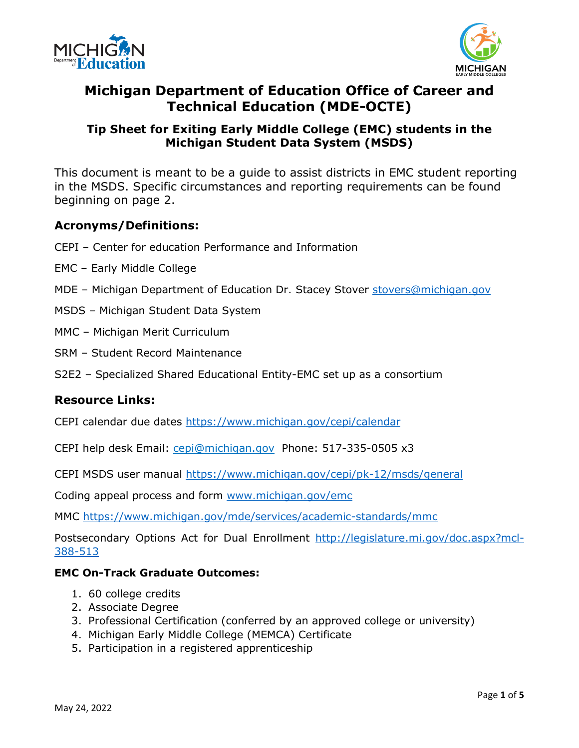



## **Michigan Department of Education Office of Career and Technical Education (MDE-OCTE)**

### **Tip Sheet for Exiting Early Middle College (EMC) students in the Michigan Student Data System (MSDS)**

This document is meant to be a guide to assist districts in EMC student reporting in the MSDS. Specific circumstances and reporting requirements can be found beginning on page 2.

#### **Acronyms/Definitions:**

- CEPI Center for education Performance and Information
- EMC Early Middle College
- MDE Michigan Department of Education Dr. Stacey Stover stovers@michigan.gov
- MSDS Michigan Student Data System
- MMC Michigan Merit Curriculum
- SRM Student Record Maintenance
- S2E2 Specialized Shared Educational Entity-EMC set up as a consortium

#### **Resource Links:**

CEPI calendar due dates<https://www.michigan.gov/cepi/calendar>

CEPI help desk Email: [cepi@michigan.gov](mailto:cepi@michigan.gov) Phone: 517-335-0505 x3

CEPI MSDS user manual<https://www.michigan.gov/cepi/pk-12/msds/general>

Coding appeal process and form [www.michigan.gov/emc](http://www.michigan.gov/emc) 

MMC<https://www.michigan.gov/mde/services/academic-standards/mmc>

Postsecondary Options Act for Dual Enrollment [http://legislature.mi.gov/doc.aspx?mcl-](http://legislature.mi.gov/doc.aspx?mcl-388-513)[388-513](http://legislature.mi.gov/doc.aspx?mcl-388-513) 

#### **EMC On-Track Graduate Outcomes:**

- 1. 60 college credits
- 2. Associate Degree
- 3. Professional Certification (conferred by an approved college or university)
- 4. Michigan Early Middle College (MEMCA) Certificate
- 5. Participation in a registered apprenticeship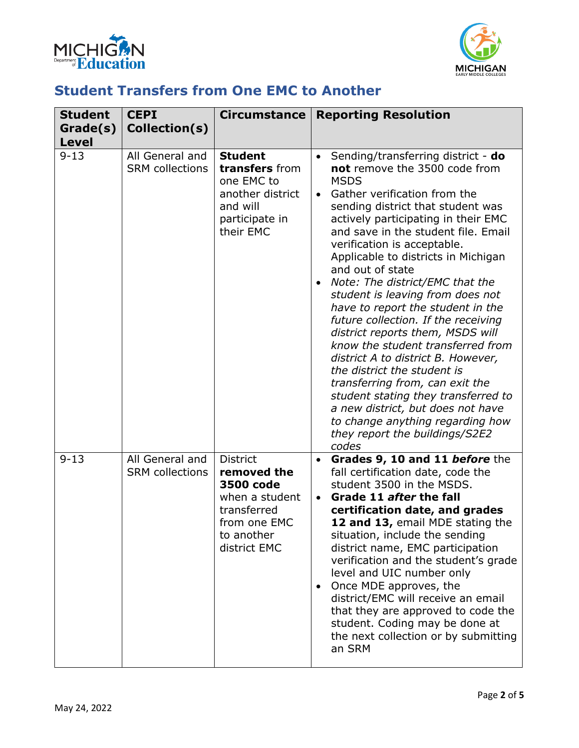



## **Student Transfers from One EMC to Another**

| <b>Student</b><br>Grade(s)<br><b>Level</b> | <b>CEPI</b><br>Collection(s)              | <b>Circumstance</b>                                                                                                        | <b>Reporting Resolution</b>                                                                                                                                                                                                                                                                                                                                                                                                                                                                                                                                                                                                                                                                                                                                                                                                                              |
|--------------------------------------------|-------------------------------------------|----------------------------------------------------------------------------------------------------------------------------|----------------------------------------------------------------------------------------------------------------------------------------------------------------------------------------------------------------------------------------------------------------------------------------------------------------------------------------------------------------------------------------------------------------------------------------------------------------------------------------------------------------------------------------------------------------------------------------------------------------------------------------------------------------------------------------------------------------------------------------------------------------------------------------------------------------------------------------------------------|
| $9 - 13$                                   | All General and<br><b>SRM</b> collections | <b>Student</b><br>transfers from<br>one EMC to<br>another district<br>and will<br>participate in<br>their EMC              | Sending/transferring district - do<br>$\bullet$<br>not remove the 3500 code from<br><b>MSDS</b><br>Gather verification from the<br>$\bullet$<br>sending district that student was<br>actively participating in their EMC<br>and save in the student file. Email<br>verification is acceptable.<br>Applicable to districts in Michigan<br>and out of state<br>Note: The district/EMC that the<br>student is leaving from does not<br>have to report the student in the<br>future collection. If the receiving<br>district reports them, MSDS will<br>know the student transferred from<br>district A to district B. However,<br>the district the student is<br>transferring from, can exit the<br>student stating they transferred to<br>a new district, but does not have<br>to change anything regarding how<br>they report the buildings/S2E2<br>codes |
| $9 - 13$                                   | All General and<br><b>SRM</b> collections | <b>District</b><br>removed the<br>3500 code<br>when a student<br>transferred<br>from one EMC<br>to another<br>district EMC | Grades 9, 10 and 11 before the<br>٠<br>fall certification date, code the<br>student 3500 in the MSDS.<br>Grade 11 after the fall<br>$\bullet$<br>certification date, and grades<br>12 and 13, email MDE stating the<br>situation, include the sending<br>district name, EMC participation<br>verification and the student's grade<br>level and UIC number only<br>Once MDE approves, the<br>$\bullet$<br>district/EMC will receive an email<br>that they are approved to code the<br>student. Coding may be done at<br>the next collection or by submitting<br>an SRM                                                                                                                                                                                                                                                                                    |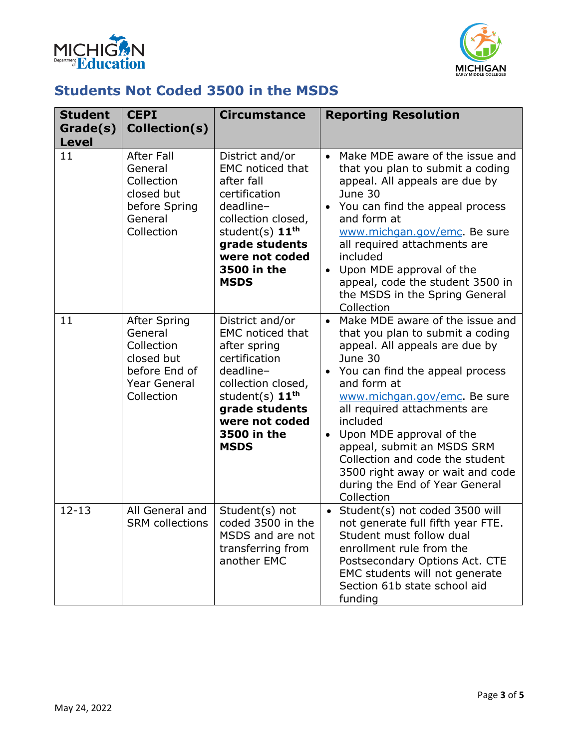



## **Students Not Coded 3500 in the MSDS**

| <b>Student</b><br>Grade(s)<br><b>Level</b> | <b>CEPI</b><br>Collection(s)                                                                                     | <b>Circumstance</b>                                                                                                                                                                                           | <b>Reporting Resolution</b>                                                                                                                                                                                                                                                                                                                                                                                                         |
|--------------------------------------------|------------------------------------------------------------------------------------------------------------------|---------------------------------------------------------------------------------------------------------------------------------------------------------------------------------------------------------------|-------------------------------------------------------------------------------------------------------------------------------------------------------------------------------------------------------------------------------------------------------------------------------------------------------------------------------------------------------------------------------------------------------------------------------------|
| 11                                         | <b>After Fall</b><br>General<br>Collection<br>closed but<br>before Spring<br>General<br>Collection               | District and/or<br><b>EMC</b> noticed that<br>after fall<br>certification<br>deadline-<br>collection closed,<br>student(s) 11 <sup>th</sup><br>grade students<br>were not coded<br>3500 in the<br><b>MSDS</b> | Make MDE aware of the issue and<br>$\bullet$<br>that you plan to submit a coding<br>appeal. All appeals are due by<br>June 30<br>• You can find the appeal process<br>and form at<br>www.michgan.gov/emc. Be sure<br>all required attachments are<br>included<br>Upon MDE approval of the<br>appeal, code the student 3500 in<br>the MSDS in the Spring General<br>Collection                                                       |
| 11                                         | <b>After Spring</b><br>General<br>Collection<br>closed but<br>before End of<br><b>Year General</b><br>Collection | District and/or<br><b>EMC</b> noticed that<br>after spring<br>certification<br>deadline-<br>collection closed,<br>student(s) $11th$<br>grade students<br>were not coded<br>3500 in the<br><b>MSDS</b>         | • Make MDE aware of the issue and<br>that you plan to submit a coding<br>appeal. All appeals are due by<br>June 30<br>• You can find the appeal process<br>and form at<br>www.michgan.gov/emc. Be sure<br>all required attachments are<br>included<br>Upon MDE approval of the<br>appeal, submit an MSDS SRM<br>Collection and code the student<br>3500 right away or wait and code<br>during the End of Year General<br>Collection |
| $12 - 13$                                  | All General and<br><b>SRM</b> collections                                                                        | Student(s) not<br>coded 3500 in the<br>MSDS and are not<br>transferring from<br>another EMC                                                                                                                   | Student(s) not coded 3500 will<br>not generate full fifth year FTE.<br>Student must follow dual<br>enrollment rule from the<br>Postsecondary Options Act. CTE<br>EMC students will not generate<br>Section 61b state school aid<br>funding                                                                                                                                                                                          |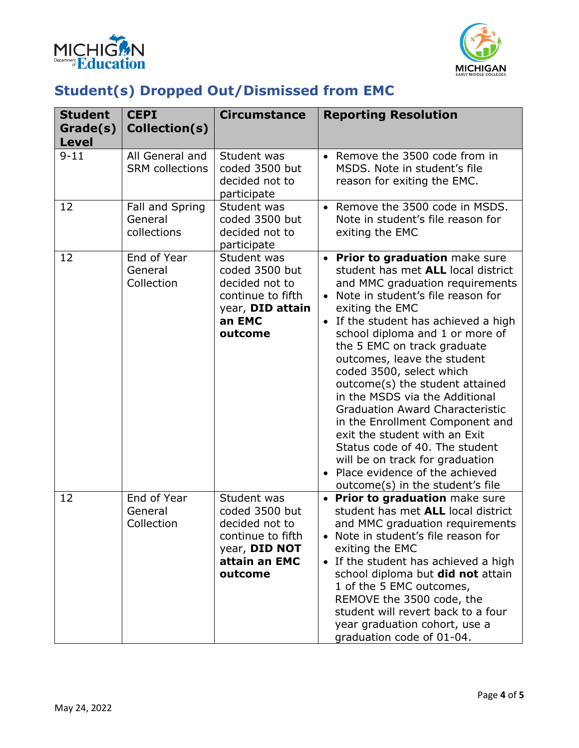



# **Student(s) Dropped Out/Dismissed from EMC**

| <b>Student</b>           | <b>CEPI</b>                               | <b>Circumstance</b>                                                                                               | <b>Reporting Resolution</b>                                                                                                                                                                                                                                                                                                                                                                                                                                                                                                                                                                                                                                                    |
|--------------------------|-------------------------------------------|-------------------------------------------------------------------------------------------------------------------|--------------------------------------------------------------------------------------------------------------------------------------------------------------------------------------------------------------------------------------------------------------------------------------------------------------------------------------------------------------------------------------------------------------------------------------------------------------------------------------------------------------------------------------------------------------------------------------------------------------------------------------------------------------------------------|
| Grade(s)<br><b>Level</b> | Collection(s)                             |                                                                                                                   |                                                                                                                                                                                                                                                                                                                                                                                                                                                                                                                                                                                                                                                                                |
| $9 - 11$                 | All General and<br><b>SRM</b> collections | Student was<br>coded 3500 but<br>decided not to<br>participate                                                    | • Remove the 3500 code from in<br>MSDS. Note in student's file<br>reason for exiting the EMC.                                                                                                                                                                                                                                                                                                                                                                                                                                                                                                                                                                                  |
| 12                       | Fall and Spring<br>General<br>collections | Student was<br>coded 3500 but<br>decided not to<br>participate                                                    | • Remove the 3500 code in MSDS.<br>Note in student's file reason for<br>exiting the EMC                                                                                                                                                                                                                                                                                                                                                                                                                                                                                                                                                                                        |
| 12                       | End of Year<br>General<br>Collection      | Student was<br>coded 3500 but<br>decided not to<br>continue to fifth<br>year, DID attain<br>an EMC<br>outcome     | • Prior to graduation make sure<br>student has met ALL local district<br>and MMC graduation requirements<br>Note in student's file reason for<br>exiting the EMC<br>If the student has achieved a high<br>$\bullet$<br>school diploma and 1 or more of<br>the 5 EMC on track graduate<br>outcomes, leave the student<br>coded 3500, select which<br>outcome(s) the student attained<br>in the MSDS via the Additional<br><b>Graduation Award Characteristic</b><br>in the Enrollment Component and<br>exit the student with an Exit<br>Status code of 40. The student<br>will be on track for graduation<br>Place evidence of the achieved<br>outcome(s) in the student's file |
| 12                       | End of Year<br>General<br>Collection      | Student was<br>coded 3500 but<br>decided not to<br>continue to fifth<br>year, DID NOT<br>attain an EMC<br>outcome | <b>Prior to graduation make sure</b><br>student has met ALL local district<br>and MMC graduation requirements<br>• Note in student's file reason for<br>exiting the EMC<br>• If the student has achieved a high<br>school diploma but did not attain<br>1 of the 5 EMC outcomes,<br>REMOVE the 3500 code, the<br>student will revert back to a four<br>year graduation cohort, use a<br>graduation code of 01-04.                                                                                                                                                                                                                                                              |